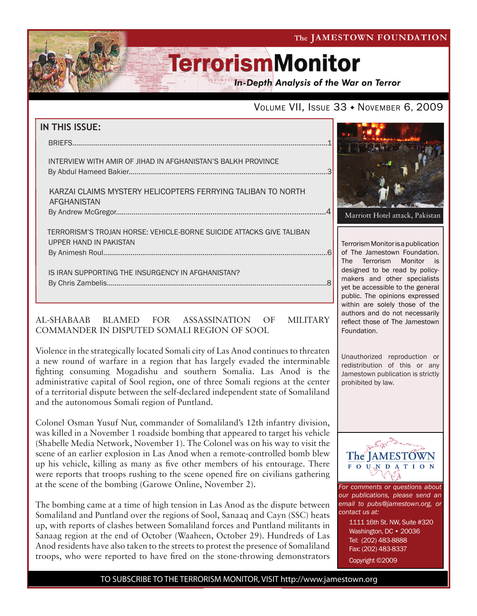The JAMESTOWN FOUNDATION

# **TerrorismMonitor**

**In-Depth Analysis of the War on Terror** 

## VOLUME VII, ISSUE 33 · NOVEMBER 6, 2009

| IN THIS ISSUE:                                                                                 |
|------------------------------------------------------------------------------------------------|
|                                                                                                |
| INTERVIEW WITH AMIR OF JIHAD IN AFGHANISTAN'S BALKH PROVINCE                                   |
| KARZAI CLAIMS MYSTERY HELICOPTERS FERRYING TALIBAN TO NORTH<br>AFGHANISTAN                     |
| TERRORISM'S TROJAN HORSE: VEHICLE-BORNE SUICIDE ATTACKS GIVE TALIBAN<br>UPPER HAND IN PAKISTAN |
| IS IRAN SUPPORTING THE INSURGENCY IN AFGHANISTAN?                                              |

### AL-SHABAAB BLAMED FOR ASSASSINATION OF MILITARY COMMANDER IN DISPUTED SOMALI REGION OF SOOL

Violence in the strategically located Somali city of Las Anod continues to threaten a new round of warfare in a region that has largely evaded the interminable fighting consuming Mogadishu and southern Somalia. Las Anod is the administrative capital of Sool region, one of three Somali regions at the center of a territorial dispute between the self-declared independent state of Somaliland and the autonomous Somali region of Puntland.

Colonel Osman Yusuf Nur, commander of Somaliland's 12th infantry division, was killed in a November 1 roadside bombing that appeared to target his vehicle (Shabelle Media Network, November 1). The Colonel was on his way to visit the scene of an earlier explosion in Las Anod when a remote-controlled bomb blew up his vehicle, killing as many as five other members of his entourage. There were reports that troops rushing to the scene opened fire on civilians gathering at the scene of the bombing (Garowe Online, November 2).

The bombing came at a time of high tension in Las Anod as the dispute between Somaliland and Puntland over the regions of Sool, Sanaaq and Cayn (SSC) heats up, with reports of clashes between Somaliland forces and Puntland militants in Sanaag region at the end of October (Waaheen, October 29). Hundreds of Las Anod residents have also taken to the streets to protest the presence of Somaliland troops, who were reported to have fired on the stone-throwing demonstrators



Marriott Hotel attack, Pakistan

Terrorism Monitor is a publication of The Jamestown Foundation. The Terrorism Monitor is designed to be read by policymakers and other specialists yet be accessible to the general public. The opinions expressed within are solely those of the authors and do not necessarily reflect those of The Jamestown Foundation.

Unauthorized reproduction or redistribution of this or any Jamestown publication is strictly prohibited by law.



*For comments or questions about our publications, please send an email to pubs@jamestown.org, or contact us at:* 

> 1111 16th St. NW, Suite #320 Washington, DC • 20036 Tel: (202) 483-8888 Fax: (202) 483-8337 Copyright ©2009

TO SUBSCRIBE TO THE TERRORISM MONITOR, VISIT http://www.jamestown.org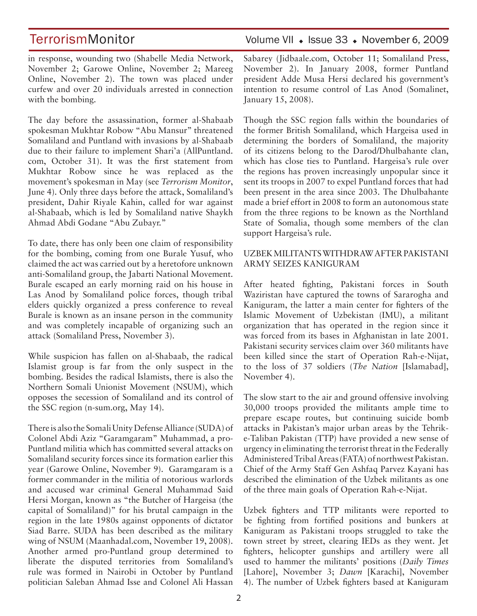in response, wounding two (Shabelle Media Network, November 2; Garowe Online, November 2; Mareeg Online, November 2). The town was placed under curfew and over 20 individuals arrested in connection with the bombing.

The day before the assassination, former al-Shabaab spokesman Mukhtar Robow "Abu Mansur" threatened Somaliland and Puntland with invasions by al-Shabaab due to their failure to implement Shari'a (AllPuntland. com, October 31). It was the first statement from Mukhtar Robow since he was replaced as the movement's spokesman in May (see *Terrorism Monitor*, June 4). Only three days before the attack, Somaliland's president, Dahir Riyale Kahin, called for war against al-Shabaab, which is led by Somaliland native Shaykh Ahmad Abdi Godane "Abu Zubayr."

To date, there has only been one claim of responsibility for the bombing, coming from one Burale Yusuf, who claimed the act was carried out by a heretofore unknown anti-Somaliland group, the Jabarti National Movement. Burale escaped an early morning raid on his house in Las Anod by Somaliland police forces, though tribal elders quickly organized a press conference to reveal Burale is known as an insane person in the community and was completely incapable of organizing such an attack (Somaliland Press, November 3).

While suspicion has fallen on al-Shabaab, the radical Islamist group is far from the only suspect in the bombing. Besides the radical Islamists, there is also the Northern Somali Unionist Movement (NSUM), which opposes the secession of Somaliland and its control of the SSC region (n-sum.org, May 14).

There is also the Somali Unity Defense Alliance (SUDA) of Colonel Abdi Aziz "Garamgaram" Muhammad, a pro-Puntland militia which has committed several attacks on Somaliland security forces since its formation earlier this year (Garowe Online, November 9). Garamgaram is a former commander in the militia of notorious warlords and accused war criminal General Muhammad Said Hersi Morgan, known as "the Butcher of Hargeisa (the capital of Somaliland)" for his brutal campaign in the region in the late 1980s against opponents of dictator Siad Barre. SUDA has been described as the military wing of NSUM (Maanhadal.com, November 19, 2008). Another armed pro-Puntland group determined to liberate the disputed territories from Somaliland's rule was formed in Nairobi in October by Puntland politician Saleban Ahmad Isse and Colonel Ali Hassan

## TerrorismMonitor Volume VII • Issue 33 • November 6, 2009

Sabarey (Jidbaale.com, October 11; Somaliland Press, November 2). In January 2008, former Puntland president Adde Musa Hersi declared his government's intention to resume control of Las Anod (Somalinet, January 15, 2008).

Though the SSC region falls within the boundaries of the former British Somaliland, which Hargeisa used in determining the borders of Somaliland, the majority of its citizens belong to the Darod/Dhulbahante clan, which has close ties to Puntland. Hargeisa's rule over the regions has proven increasingly unpopular since it sent its troops in 2007 to expel Puntland forces that had been present in the area since 2003. The Dhulbahante made a brief effort in 2008 to form an autonomous state from the three regions to be known as the Northland State of Somalia, though some members of the clan support Hargeisa's rule.

### UZBEK MILITANTS WITHDRAW AFTER PAKISTANI ARMY SEIZES KANIGURAM

After heated fighting, Pakistani forces in South Waziristan have captured the towns of Sararogha and Kaniguram, the latter a main center for fighters of the Islamic Movement of Uzbekistan (IMU), a militant organization that has operated in the region since it was forced from its bases in Afghanistan in late 2001. Pakistani security services claim over 360 militants have been killed since the start of Operation Rah-e-Nijat, to the loss of 37 soldiers (*The Nation* [Islamabad], November 4).

The slow start to the air and ground offensive involving 30,000 troops provided the militants ample time to prepare escape routes, but continuing suicide bomb attacks in Pakistan's major urban areas by the Tehrike-Taliban Pakistan (TTP) have provided a new sense of urgency in eliminating the terrorist threat in the Federally Administered Tribal Areas (FATA) of northwest Pakistan. Chief of the Army Staff Gen Ashfaq Parvez Kayani has described the elimination of the Uzbek militants as one of the three main goals of Operation Rah-e-Nijat.

Uzbek fighters and TTP militants were reported to be fighting from fortified positions and bunkers at Kaniguram as Pakistani troops struggled to take the town street by street, clearing IEDs as they went. Jet fighters, helicopter gunships and artillery were all used to hammer the militants' positions (*Daily Times*  [Lahore], November 3; *Dawn* [Karachi], November 4). The number of Uzbek fighters based at Kaniguram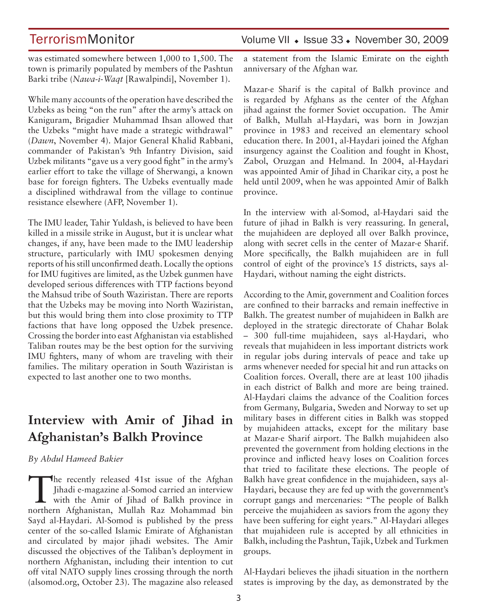was estimated somewhere between 1,000 to 1,500. The town is primarily populated by members of the Pashtun Barki tribe (*Nawa-i-Waqt* [Rawalpindi], November 1).

While many accounts of the operation have described the Uzbeks as being "on the run" after the army's attack on Kaniguram, Brigadier Muhammad Ihsan allowed that the Uzbeks "might have made a strategic withdrawal" (*Dawn*, November 4). Major General Khalid Rabbani, commander of Pakistan's 9th Infantry Division, said Uzbek militants "gave us a very good fight" in the army's earlier effort to take the village of Sherwangi, a known base for foreign fighters. The Uzbeks eventually made a disciplined withdrawal from the village to continue resistance elsewhere (AFP, November 1).

The IMU leader, Tahir Yuldash, is believed to have been killed in a missile strike in August, but it is unclear what changes, if any, have been made to the IMU leadership structure, particularly with IMU spokesmen denying reports of his still unconfirmed death. Locally the options for IMU fugitives are limited, as the Uzbek gunmen have developed serious differences with TTP factions beyond the Mahsud tribe of South Waziristan. There are reports that the Uzbeks may be moving into North Waziristan, but this would bring them into close proximity to TTP factions that have long opposed the Uzbek presence. Crossing the border into east Afghanistan via established Taliban routes may be the best option for the surviving IMU fighters, many of whom are traveling with their families. The military operation in South Waziristan is expected to last another one to two months.

## **Interview with Amir of Jihad in Afghanistan's Balkh Province**

### *By Abdul Hameed Bakier*

The recently released 41st issue of the Afghan<br>
Jihadi e-magazine al-Somod carried an interview<br>
with the Amir of Jihad of Balkh province in<br>
northern Afghanistan Mullah Bar Mohammed hin Jihadi e-magazine al-Somod carried an interview northern Afghanistan, Mullah Raz Mohammad bin Sayd al-Haydari. Al-Somod is published by the press center of the so-called Islamic Emirate of Afghanistan and circulated by major jihadi websites. The Amir discussed the objectives of the Taliban's deployment in northern Afghanistan, including their intention to cut off vital NATO supply lines crossing through the north (alsomod.org, October 23). The magazine also released

## TerrorismMonitor Volume VII • Issue 33 • November 30, 2009

a statement from the Islamic Emirate on the eighth anniversary of the Afghan war.

Mazar-e Sharif is the capital of Balkh province and is regarded by Afghans as the center of the Afghan jihad against the former Soviet occupation. The Amir of Balkh, Mullah al-Haydari, was born in Jowzjan province in 1983 and received an elementary school education there. In 2001, al-Haydari joined the Afghan insurgency against the Coalition and fought in Khost, Zabol, Oruzgan and Helmand. In 2004, al-Haydari was appointed Amir of Jihad in Charikar city, a post he held until 2009, when he was appointed Amir of Balkh province.

In the interview with al-Somod, al-Haydari said the future of jihad in Balkh is very reassuring. In general, the mujahideen are deployed all over Balkh province, along with secret cells in the center of Mazar-e Sharif. More specifically, the Balkh mujahideen are in full control of eight of the province's 15 districts, says al-Haydari, without naming the eight districts.

According to the Amir, government and Coalition forces are confined to their barracks and remain ineffective in Balkh. The greatest number of mujahideen in Balkh are deployed in the strategic directorate of Chahar Bolak – 300 full-time mujahideen, says al-Haydari, who reveals that mujahideen in less important districts work in regular jobs during intervals of peace and take up arms whenever needed for special hit and run attacks on Coalition forces. Overall, there are at least 100 jihadis in each district of Balkh and more are being trained. Al-Haydari claims the advance of the Coalition forces from Germany, Bulgaria, Sweden and Norway to set up military bases in different cities in Balkh was stopped by mujahideen attacks, except for the military base at Mazar-e Sharif airport. The Balkh mujahideen also prevented the government from holding elections in the province and inflicted heavy loses on Coalition forces that tried to facilitate these elections. The people of Balkh have great confidence in the mujahideen, says al-Haydari, because they are fed up with the government's corrupt gangs and mercenaries: "The people of Balkh perceive the mujahideen as saviors from the agony they have been suffering for eight years." Al-Haydari alleges that mujahideen rule is accepted by all ethnicities in Balkh, including the Pashtun, Tajik, Uzbek and Turkmen groups.

Al-Haydari believes the jihadi situation in the northern states is improving by the day, as demonstrated by the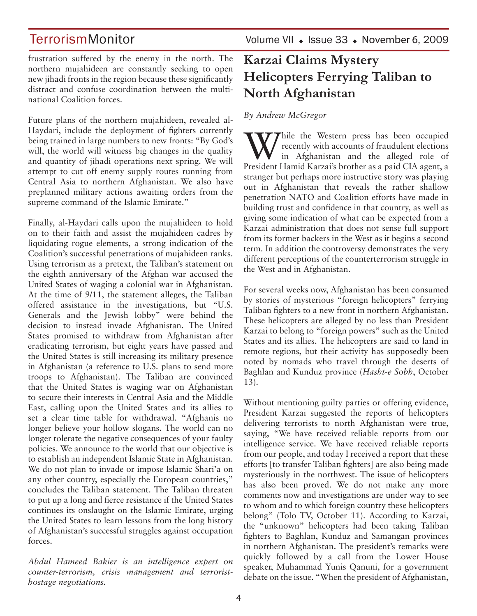frustration suffered by the enemy in the north. The northern mujahideen are constantly seeking to open new jihadi fronts in the region because these significantly distract and confuse coordination between the multinational Coalition forces.

Future plans of the northern mujahideen, revealed al-Haydari, include the deployment of fighters currently being trained in large numbers to new fronts: "By God's will, the world will witness big changes in the quality and quantity of jihadi operations next spring. We will attempt to cut off enemy supply routes running from Central Asia to northern Afghanistan. We also have preplanned military actions awaiting orders from the supreme command of the Islamic Emirate."

Finally, al-Haydari calls upon the mujahideen to hold on to their faith and assist the mujahideen cadres by liquidating rogue elements, a strong indication of the Coalition's successful penetrations of mujahideen ranks. Using terrorism as a pretext, the Taliban's statement on the eighth anniversary of the Afghan war accused the United States of waging a colonial war in Afghanistan. At the time of 9/11, the statement alleges, the Taliban offered assistance in the investigations, but "U.S. Generals and the Jewish lobby" were behind the decision to instead invade Afghanistan. The United States promised to withdraw from Afghanistan after eradicating terrorism, but eight years have passed and the United States is still increasing its military presence in Afghanistan (a reference to U.S. plans to send more troops to Afghanistan). The Taliban are convinced that the United States is waging war on Afghanistan to secure their interests in Central Asia and the Middle East, calling upon the United States and its allies to set a clear time table for withdrawal. "Afghanis no longer believe your hollow slogans. The world can no longer tolerate the negative consequences of your faulty policies. We announce to the world that our objective is to establish an independent Islamic State in Afghanistan. We do not plan to invade or impose Islamic Shari'a on any other country, especially the European countries," concludes the Taliban statement. The Taliban threaten to put up a long and fierce resistance if the United States continues its onslaught on the Islamic Emirate, urging the United States to learn lessons from the long history of Afghanistan's successful struggles against occupation forces.

*Abdul Hameed Bakier is an intelligence expert on counter-terrorism, crisis management and terroristhostage negotiations.*

TerrorismMonitor Volume VII + Issue 33 + November 6, 2009

## **Karzai Claims Mystery Helicopters Ferrying Taliban to North Afghanistan**

### *By Andrew McGregor*

**TT** hile the Western press has been occupied recently with accounts of fraudulent elections in Afghanistan and the alleged role of President Hamid Karzai's brother as a paid CIA agent, a stranger but perhaps more instructive story was playing out in Afghanistan that reveals the rather shallow penetration NATO and Coalition efforts have made in building trust and confidence in that country, as well as giving some indication of what can be expected from a Karzai administration that does not sense full support from its former backers in the West as it begins a second term. In addition the controversy demonstrates the very different perceptions of the counterterrorism struggle in the West and in Afghanistan.

For several weeks now, Afghanistan has been consumed by stories of mysterious "foreign helicopters" ferrying Taliban fighters to a new front in northern Afghanistan. These helicopters are alleged by no less than President Karzai to belong to "foreign powers" such as the United States and its allies. The helicopters are said to land in remote regions, but their activity has supposedly been noted by nomads who travel through the deserts of Baghlan and Kunduz province (*Hasht-e Sobh*, October 13).

Without mentioning guilty parties or offering evidence, President Karzai suggested the reports of helicopters delivering terrorists to north Afghanistan were true, saying, "We have received reliable reports from our intelligence service. We have received reliable reports from our people, and today I received a report that these efforts [to transfer Taliban fighters] are also being made mysteriously in the northwest. The issue of helicopters has also been proved. We do not make any more comments now and investigations are under way to see to whom and to which foreign country these helicopters belong" (Tolo TV, October 11). According to Karzai, the "unknown" helicopters had been taking Taliban fighters to Baghlan, Kunduz and Samangan provinces in northern Afghanistan. The president's remarks were quickly followed by a call from the Lower House speaker, Muhammad Yunis Qanuni, for a government debate on the issue. "When the president of Afghanistan,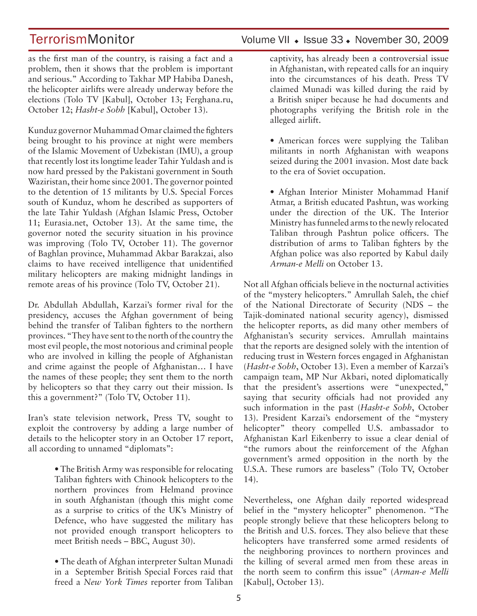as the first man of the country, is raising a fact and a problem, then it shows that the problem is important and serious." According to Takhar MP Habiba Danesh, the helicopter airlifts were already underway before the elections (Tolo TV [Kabul], October 13; Ferghana.ru, October 12; *Hasht-e Sobh* [Kabul], October 13).

Kunduz governor Muhammad Omar claimed the fighters being brought to his province at night were members of the Islamic Movement of Uzbekistan (IMU), a group that recently lost its longtime leader Tahir Yuldash and is now hard pressed by the Pakistani government in South Waziristan, their home since 2001. The governor pointed to the detention of 15 militants by U.S. Special Forces south of Kunduz, whom he described as supporters of the late Tahir Yuldash (Afghan Islamic Press, October 11; Eurasia.net, October 13). At the same time, the governor noted the security situation in his province was improving (Tolo TV, October 11). The governor of Baghlan province, Muhammad Akbar Barakzai, also claims to have received intelligence that unidentified military helicopters are making midnight landings in remote areas of his province (Tolo TV, October 21).

Dr. Abdullah Abdullah, Karzai's former rival for the presidency, accuses the Afghan government of being behind the transfer of Taliban fighters to the northern provinces. "They have sent to the north of the country the most evil people, the most notorious and criminal people who are involved in killing the people of Afghanistan and crime against the people of Afghanistan… I have the names of these people; they sent them to the north by helicopters so that they carry out their mission. Is this a government?" (Tolo TV, October 11).

Iran's state television network, Press TV, sought to exploit the controversy by adding a large number of details to the helicopter story in an October 17 report, all according to unnamed "diplomats":

> • The British Army was responsible for relocating Taliban fighters with Chinook helicopters to the northern provinces from Helmand province in south Afghanistan (though this might come as a surprise to critics of the UK's Ministry of Defence, who have suggested the military has not provided enough transport helicopters to meet British needs – BBC, August 30).

> • The death of Afghan interpreter Sultan Munadi in a September British Special Forces raid that freed a *New York Times* reporter from Taliban

TerrorismMonitor Volume VII • Issue 33 • November 30, 2009

captivity, has already been a controversial issue in Afghanistan, with repeated calls for an inquiry into the circumstances of his death. Press TV claimed Munadi was killed during the raid by a British sniper because he had documents and photographs verifying the British role in the alleged airlift.

• American forces were supplying the Taliban militants in north Afghanistan with weapons seized during the 2001 invasion. Most date back to the era of Soviet occupation.

• Afghan Interior Minister Mohammad Hanif Atmar, a British educated Pashtun, was working under the direction of the UK. The Interior Ministry has funneled arms to the newly relocated Taliban through Pashtun police officers. The distribution of arms to Taliban fighters by the Afghan police was also reported by Kabul daily *Arman-e Melli* on October 13.

Not all Afghan officials believe in the nocturnal activities of the "mystery helicopters." Amrullah Saleh, the chief of the National Directorate of Security (NDS – the Tajik-dominated national security agency), dismissed the helicopter reports, as did many other members of Afghanistan's security services. Amrullah maintains that the reports are designed solely with the intention of reducing trust in Western forces engaged in Afghanistan (*Hasht-e Sobh*, October 13). Even a member of Karzai's campaign team, MP Nur Akbari, noted diplomatically that the president's assertions were "unexpected," saying that security officials had not provided any such information in the past (*Hasht-e Sobh*, October 13). President Karzai's endorsement of the "mystery helicopter" theory compelled U.S. ambassador to Afghanistan Karl Eikenberry to issue a clear denial of "the rumors about the reinforcement of the Afghan government's armed opposition in the north by the U.S.A. These rumors are baseless" (Tolo TV, October 14).

Nevertheless, one Afghan daily reported widespread belief in the "mystery helicopter" phenomenon. "The people strongly believe that these helicopters belong to the British and U.S. forces. They also believe that these helicopters have transferred some armed residents of the neighboring provinces to northern provinces and the killing of several armed men from these areas in the north seem to confirm this issue" (*Arman-e Melli*  [Kabul], October 13).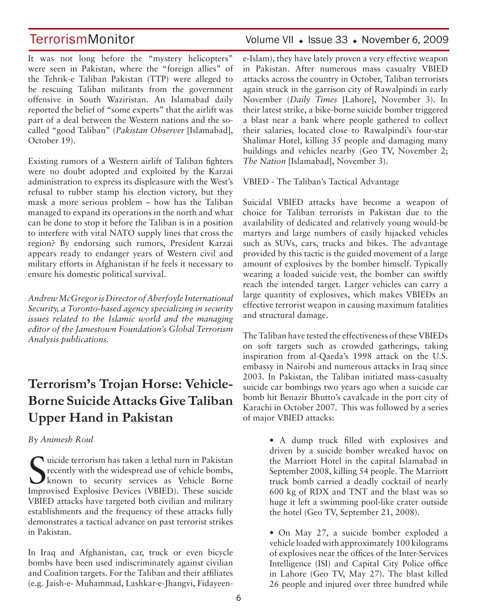It was not long before the "mystery helicopters" were seen in Pakistan, where the "foreign allies" of the Tehrik-e Taliban Pakistan (TTP) were alleged to be rescuing Taliban militants from the government offensive in South Waziristan. An Islamabad daily reported the belief of "some experts" that the airlift was part of a deal between the Western nations and the socalled "good Taliban" (*Pakistan Observer* [Islamabad], October 19).

Existing rumors of a Western airlift of Taliban fighters were no doubt adopted and exploited by the Karzai administration to express its displeasure with the West's refusal to rubber stamp his election victory, but they mask a more serious problem – how has the Taliban managed to expand its operations in the north and what can be done to stop it before the Taliban is in a position to interfere with vital NATO supply lines that cross the region? By endorsing such rumors, President Karzai appears ready to endanger years of Western civil and military efforts in Afghanistan if he feels it necessary to ensure his domestic political survival.

*Andrew McGregor is Director of Aberfoyle International Security, a Toronto-based agency specializing in security issues related to the Islamic world and the managing editor of the Jamestown Foundation's Global Terrorism Analysis publications.*

## **Terrorism's Trojan Horse: Vehicle-Borne Suicide Attacks Give Taliban Upper Hand in Pakistan**

### *By Animesh Roul*

Suicide terrorism has taken a lethal turn in Pakistan<br>
recently with the widespread use of vehicle bombs,<br>
known to security services as Vehicle Borne recently with the widespread use of vehicle bombs, known to security services as Vehicle Borne Improvised Explosive Devices (VBIED). These suicide VBIED attacks have targeted both civilian and military establishments and the frequency of these attacks fully demonstrates a tactical advance on past terrorist strikes in Pakistan.

In Iraq and Afghanistan, car, truck or even bicycle bombs have been used indiscriminately against civilian and Coalition targets. For the Taliban and their affiliates (e.g. Jaish-e- Muhammad, Lashkar-e-Jhangvi, Fidayeen-

## TerrorismMonitor Volume VII + Issue 33 + November 6, 2009

e-Islam), they have lately proven a very effective weapon in Pakistan. After numerous mass casualty VBIED attacks across the country in October, Taliban terrorists again struck in the garrison city of Rawalpindi in early November (*Daily Times* [Lahore], November 3). In their latest strike, a bike-borne suicide bomber triggered a blast near a bank where people gathered to collect their salaries, located close to Rawalpindi's four-star Shalimar Hotel, killing 35 people and damaging many buildings and vehicles nearby (Geo TV, November 2; *The Nation* [Islamabad], November 3).

VBIED - The Taliban's Tactical Advantage

Suicidal VBIED attacks have become a weapon of choice for Taliban terrorists in Pakistan due to the availability of dedicated and relatively young would-be martyrs and large numbers of easily hijacked vehicles such as SUVs, cars, trucks and bikes. The advantage provided by this tactic is the guided movement of a large amount of explosives by the bomber himself. Typically wearing a loaded suicide vest, the bomber can swiftly reach the intended target. Larger vehicles can carry a large quantity of explosives, which makes VBIEDs an effective terrorist weapon in causing maximum fatalities and structural damage.

The Taliban have tested the effectiveness of these VBIEDs on soft targets such as crowded gatherings, taking inspiration from al-Qaeda's 1998 attack on the U.S. embassy in Nairobi and numerous attacks in Iraq since 2003. In Pakistan, the Taliban initiated mass-casualty suicide car bombings two years ago when a suicide car bomb hit Benazir Bhutto's cavalcade in the port city of Karachi in October 2007. This was followed by a series of major VBIED attacks:

> • A dump truck filled with explosives and driven by a suicide bomber wreaked havoc on the Marriott Hotel in the capital Islamabad in September 2008, killing 54 people. The Marriott truck bomb carried a deadly cocktail of nearly 600 kg of RDX and TNT and the blast was so huge it left a swimming pool-like crater outside the hotel (Geo TV, September 21, 2008).

> • On May 27, a suicide bomber exploded a vehicle loaded with approximately 100 kilograms of explosives near the offices of the Inter-Services Intelligence (ISI) and Capital City Police office in Lahore (Geo TV, May 27). The blast killed 26 people and injured over three hundred while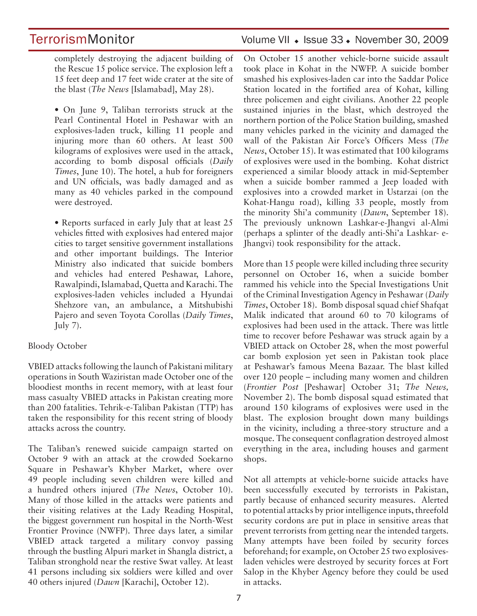completely destroying the adjacent building of the Rescue 15 police service. The explosion left a 15 feet deep and 17 feet wide crater at the site of the blast (*The News* [Islamabad], May 28).

• On June 9, Taliban terrorists struck at the Pearl Continental Hotel in Peshawar with an explosives-laden truck, killing 11 people and injuring more than 60 others. At least 500 kilograms of explosives were used in the attack, according to bomb disposal officials (*Daily Times*, June 10). The hotel, a hub for foreigners and UN officials, was badly damaged and as many as 40 vehicles parked in the compound were destroyed.

• Reports surfaced in early July that at least 25 vehicles fitted with explosives had entered major cities to target sensitive government installations and other important buildings. The Interior Ministry also indicated that suicide bombers and vehicles had entered Peshawar, Lahore, Rawalpindi, Islamabad, Quetta and Karachi. The explosives-laden vehicles included a Hyundai Shehzore van, an ambulance, a Mitshubishi Pajero and seven Toyota Corollas (*Daily Times*, July  $7$ ).

### Bloody October

VBIED attacks following the launch of Pakistani military operations in South Waziristan made October one of the bloodiest months in recent memory, with at least four mass casualty VBIED attacks in Pakistan creating more than 200 fatalities. Tehrik-e-Taliban Pakistan (TTP) has taken the responsibility for this recent string of bloody attacks across the country.

The Taliban's renewed suicide campaign started on October 9 with an attack at the crowded Soekarno Square in Peshawar's Khyber Market, where over 49 people including seven children were killed and a hundred others injured (*The News*, October 10). Many of those killed in the attacks were patients and their visiting relatives at the Lady Reading Hospital, the biggest government run hospital in the North-West Frontier Province (NWFP). Three days later, a similar VBIED attack targeted a military convoy passing through the bustling Alpuri market in Shangla district, a Taliban stronghold near the restive Swat valley. At least 41 persons including six soldiers were killed and over 40 others injured (*Dawn* [Karachi], October 12).

## TerrorismMonitor Volume VII • Issue 33 • November 30, 2009

On October 15 another vehicle-borne suicide assault took place in Kohat in the NWFP. A suicide bomber smashed his explosives-laden car into the Saddar Police Station located in the fortified area of Kohat, killing three policemen and eight civilians. Another 22 people sustained injuries in the blast, which destroyed the northern portion of the Police Station building, smashed many vehicles parked in the vicinity and damaged the wall of the Pakistan Air Force's Officers Mess (*The News*, October 15). It was estimated that 100 kilograms of explosives were used in the bombing. Kohat district experienced a similar bloody attack in mid-September when a suicide bomber rammed a Jeep loaded with explosives into a crowded market in Ustarzai (on the Kohat-Hangu road), killing 33 people, mostly from the minority Shi'a community (*Dawn*, September 18). The previously unknown Lashkar-e-Jhangvi al-Almi (perhaps a splinter of the deadly anti-Shi'a Lashkar- e-Jhangvi) took responsibility for the attack.

More than 15 people were killed including three security personnel on October 16, when a suicide bomber rammed his vehicle into the Special Investigations Unit of the Criminal Investigation Agency in Peshawar (*Daily Times*, October 18). Bomb disposal squad chief Shafqat Malik indicated that around 60 to 70 kilograms of explosives had been used in the attack. There was little time to recover before Peshawar was struck again by a VBIED attack on October 28, when the most powerful car bomb explosion yet seen in Pakistan took place at Peshawar's famous Meena Bazaar. The blast killed over 120 people – including many women and children (*Frontier Post* [Peshawar] October 31; *The News,*  November 2). The bomb disposal squad estimated that around 150 kilograms of explosives were used in the blast. The explosion brought down many buildings in the vicinity, including a three-story structure and a mosque. The consequent conflagration destroyed almost everything in the area, including houses and garment shops.

Not all attempts at vehicle-borne suicide attacks have been successfully executed by terrorists in Pakistan, partly because of enhanced security measures. Alerted to potential attacks by prior intelligence inputs, threefold security cordons are put in place in sensitive areas that prevent terrorists from getting near the intended targets. Many attempts have been foiled by security forces beforehand; for example, on October 25 two explosivesladen vehicles were destroyed by security forces at Fort Salop in the Khyber Agency before they could be used in attacks.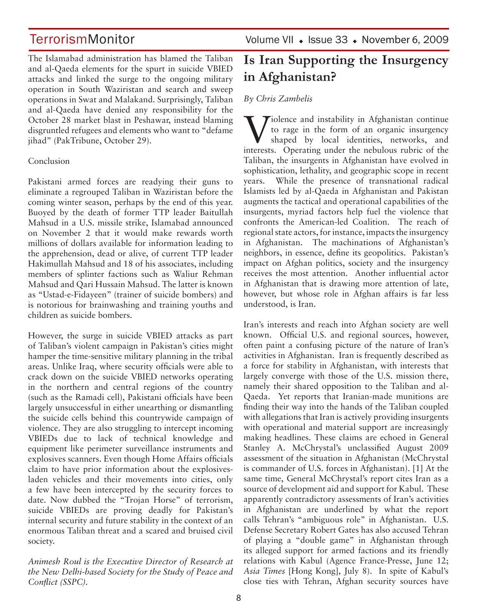The Islamabad administration has blamed the Taliban and al-Qaeda elements for the spurt in suicide VBIED attacks and linked the surge to the ongoing military operation in South Waziristan and search and sweep operations in Swat and Malakand. Surprisingly, Taliban and al-Qaeda have denied any responsibility for the October 28 market blast in Peshawar, instead blaming disgruntled refugees and elements who want to "defame jihad" (PakTribune, October 29).

### Conclusion

Pakistani armed forces are readying their guns to eliminate a regrouped Taliban in Waziristan before the coming winter season, perhaps by the end of this year. Buoyed by the death of former TTP leader Baitullah Mahsud in a U.S. missile strike, Islamabad announced on November 2 that it would make rewards worth millions of dollars available for information leading to the apprehension, dead or alive, of current TTP leader Hakimullah Mahsud and 18 of his associates, including members of splinter factions such as Waliur Rehman Mahsud and Qari Hussain Mahsud. The latter is known as "Ustad-e-Fidayeen" (trainer of suicide bombers) and is notorious for brainwashing and training youths and children as suicide bombers.

However, the surge in suicide VBIED attacks as part of Taliban's violent campaign in Pakistan's cities might hamper the time-sensitive military planning in the tribal areas. Unlike Iraq, where security officials were able to crack down on the suicide VBIED networks operating in the northern and central regions of the country (such as the Ramadi cell), Pakistani officials have been largely unsuccessful in either unearthing or dismantling the suicide cells behind this countrywide campaign of violence. They are also struggling to intercept incoming VBIEDs due to lack of technical knowledge and equipment like perimeter surveillance instruments and explosives scanners. Even though Home Affairs officials claim to have prior information about the explosivesladen vehicles and their movements into cities, only a few have been intercepted by the security forces to date. Now dubbed the "Trojan Horse" of terrorism, suicide VBIEDs are proving deadly for Pakistan's internal security and future stability in the context of an enormous Taliban threat and a scared and bruised civil society.

*Animesh Roul is the Executive Director of Research at the New Delhi-based Society for the Study of Peace and Conflict (SSPC).*

## **Is Iran Supporting the Insurgency in Afghanistan?**

### *By Chris Zambelis*

Violence and instability in Afghanistan continue<br>to rage in the form of an organic insurgency<br>shaped by local identities, networks, and<br>interests. Operating under the nabulaus while of the to rage in the form of an organic insurgency shaped by local identities, networks, and interests. Operating under the nebulous rubric of the Taliban, the insurgents in Afghanistan have evolved in sophistication, lethality, and geographic scope in recent years. While the presence of transnational radical Islamists led by al-Qaeda in Afghanistan and Pakistan augments the tactical and operational capabilities of the insurgents, myriad factors help fuel the violence that confronts the American-led Coalition. The reach of regional state actors, for instance, impacts the insurgency in Afghanistan. The machinations of Afghanistan's neighbors, in essence, define its geopolitics. Pakistan's impact on Afghan politics, society and the insurgency receives the most attention. Another influential actor in Afghanistan that is drawing more attention of late, however, but whose role in Afghan affairs is far less understood, is Iran.

Iran's interests and reach into Afghan society are well known. Official U.S. and regional sources, however, often paint a confusing picture of the nature of Iran's activities in Afghanistan. Iran is frequently described as a force for stability in Afghanistan, with interests that largely converge with those of the U.S. mission there, namely their shared opposition to the Taliban and al-Qaeda. Yet reports that Iranian-made munitions are finding their way into the hands of the Taliban coupled with allegations that Iran is actively providing insurgents with operational and material support are increasingly making headlines. These claims are echoed in General Stanley A. McChrystal's unclassified August 2009 assessment of the situation in Afghanistan (McChrystal is commander of U.S. forces in Afghanistan). [1] At the same time, General McChrystal's report cites Iran as a source of development aid and support for Kabul. These apparently contradictory assessments of Iran's activities in Afghanistan are underlined by what the report calls Tehran's "ambiguous role" in Afghanistan. U.S. Defense Secretary Robert Gates has also accused Tehran of playing a "double game" in Afghanistan through its alleged support for armed factions and its friendly relations with Kabul (Agence France-Presse, June 12; *Asia Times* [Hong Kong], July 8). In spite of Kabul's close ties with Tehran, Afghan security sources have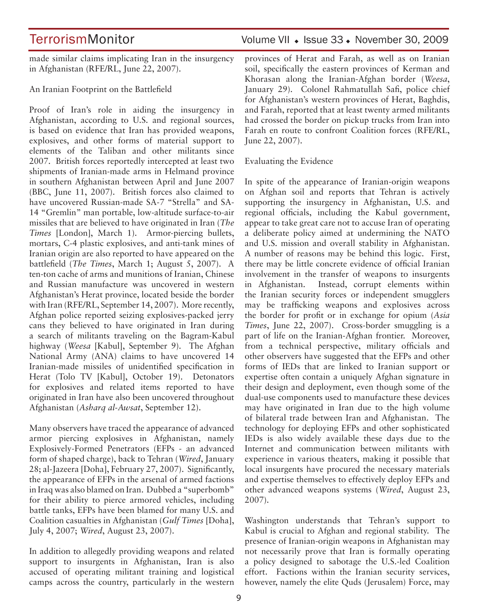made similar claims implicating Iran in the insurgency in Afghanistan (RFE/RL, June 22, 2007).

An Iranian Footprint on the Battlefield

Proof of Iran's role in aiding the insurgency in Afghanistan, according to U.S. and regional sources, is based on evidence that Iran has provided weapons, explosives, and other forms of material support to elements of the Taliban and other militants since 2007. British forces reportedly intercepted at least two shipments of Iranian-made arms in Helmand province in southern Afghanistan between April and June 2007 (BBC, June 11, 2007). British forces also claimed to have uncovered Russian-made SA-7 "Strella" and SA-14 "Gremlin" man portable, low-altitude surface-to-air missiles that are believed to have originated in Iran (*The Times* [London], March 1). Armor-piercing bullets, mortars, C-4 plastic explosives, and anti-tank mines of Iranian origin are also reported to have appeared on the battlefield (*The Times*, March 1; August 5, 2007). A ten-ton cache of arms and munitions of Iranian, Chinese and Russian manufacture was uncovered in western Afghanistan's Herat province, located beside the border with Iran (RFE/RL, September 14, 2007). More recently, Afghan police reported seizing explosives-packed jerry cans they believed to have originated in Iran during a search of militants traveling on the Bagram-Kabul highway (*Weesa* [Kabul], September 9). The Afghan National Army (ANA) claims to have uncovered 14 Iranian-made missiles of unidentified specification in Herat (Tolo TV [Kabul], October 19). Detonators for explosives and related items reported to have originated in Iran have also been uncovered throughout Afghanistan (*Asharq al-Awsat*, September 12).

Many observers have traced the appearance of advanced armor piercing explosives in Afghanistan, namely Explosively-Formed Penetrators (EFPs - an advanced form of shaped charge), back to Tehran (*Wired*, January 28; al-Jazeera [Doha], February 27, 2007). Significantly, the appearance of EFPs in the arsenal of armed factions in Iraq was also blamed on Iran. Dubbed a "superbomb" for their ability to pierce armored vehicles, including battle tanks, EFPs have been blamed for many U.S. and Coalition casualties in Afghanistan (*Gulf Times* [Doha], July 4, 2007; *Wired*, August 23, 2007).

In addition to allegedly providing weapons and related support to insurgents in Afghanistan, Iran is also accused of operating militant training and logistical camps across the country, particularly in the western

## TerrorismMonitor Volume VII • Issue 33 • November 30, 2009

provinces of Herat and Farah, as well as on Iranian soil, specifically the eastern provinces of Kerman and Khorasan along the Iranian-Afghan border (*Weesa*, January 29). Colonel Rahmatullah Safi, police chief for Afghanistan's western provinces of Herat, Baghdis, and Farah, reported that at least twenty armed militants had crossed the border on pickup trucks from Iran into Farah en route to confront Coalition forces (RFE/RL, June 22, 2007).

### Evaluating the Evidence

In spite of the appearance of Iranian-origin weapons on Afghan soil and reports that Tehran is actively supporting the insurgency in Afghanistan, U.S. and regional officials, including the Kabul government, appear to take great care not to accuse Iran of operating a deliberate policy aimed at undermining the NATO and U.S. mission and overall stability in Afghanistan. A number of reasons may be behind this logic. First, there may be little concrete evidence of official Iranian involvement in the transfer of weapons to insurgents in Afghanistan. Instead, corrupt elements within the Iranian security forces or independent smugglers may be trafficking weapons and explosives across the border for profit or in exchange for opium (*Asia Times*, June 22, 2007). Cross-border smuggling is a part of life on the Iranian-Afghan frontier. Moreover, from a technical perspective, military officials and other observers have suggested that the EFPs and other forms of IEDs that are linked to Iranian support or expertise often contain a uniquely Afghan signature in their design and deployment, even though some of the dual-use components used to manufacture these devices may have originated in Iran due to the high volume of bilateral trade between Iran and Afghanistan. The technology for deploying EFPs and other sophisticated IEDs is also widely available these days due to the Internet and communication between militants with experience in various theaters, making it possible that local insurgents have procured the necessary materials and expertise themselves to effectively deploy EFPs and other advanced weapons systems (*Wired*, August 23, 2007).

Washington understands that Tehran's support to Kabul is crucial to Afghan and regional stability. The presence of Iranian-origin weapons in Afghanistan may not necessarily prove that Iran is formally operating a policy designed to sabotage the U.S.-led Coalition effort. Factions within the Iranian security services, however, namely the elite Quds (Jerusalem) Force, may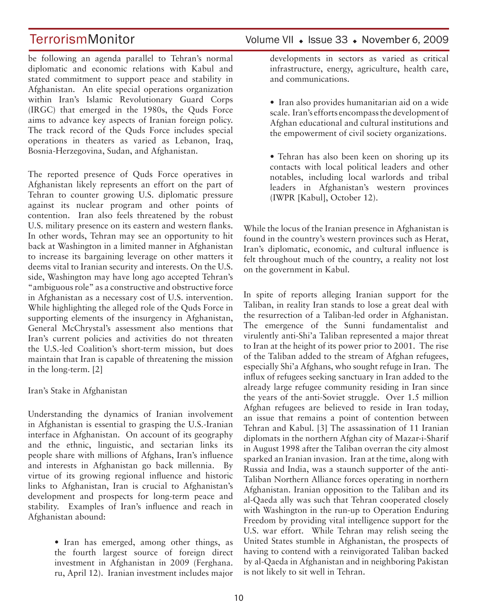be following an agenda parallel to Tehran's normal diplomatic and economic relations with Kabul and stated commitment to support peace and stability in Afghanistan. An elite special operations organization within Iran's Islamic Revolutionary Guard Corps (IRGC) that emerged in the 1980s, the Quds Force aims to advance key aspects of Iranian foreign policy. The track record of the Quds Force includes special operations in theaters as varied as Lebanon, Iraq, Bosnia-Herzegovina, Sudan, and Afghanistan.

The reported presence of Quds Force operatives in Afghanistan likely represents an effort on the part of Tehran to counter growing U.S. diplomatic pressure against its nuclear program and other points of contention. Iran also feels threatened by the robust U.S. military presence on its eastern and western flanks. In other words, Tehran may see an opportunity to hit back at Washington in a limited manner in Afghanistan to increase its bargaining leverage on other matters it deems vital to Iranian security and interests. On the U.S. side, Washington may have long ago accepted Tehran's "ambiguous role" as a constructive and obstructive force in Afghanistan as a necessary cost of U.S. intervention. While highlighting the alleged role of the Quds Force in supporting elements of the insurgency in Afghanistan, General McChrystal's assessment also mentions that Iran's current policies and activities do not threaten the U.S.-led Coalition's short-term mission, but does maintain that Iran is capable of threatening the mission in the long-term. [2]

### Iran's Stake in Afghanistan

Understanding the dynamics of Iranian involvement in Afghanistan is essential to grasping the U.S.-Iranian interface in Afghanistan. On account of its geography and the ethnic, linguistic, and sectarian links its people share with millions of Afghans, Iran's influence and interests in Afghanistan go back millennia. By virtue of its growing regional influence and historic links to Afghanistan, Iran is crucial to Afghanistan's development and prospects for long-term peace and stability. Examples of Iran's influence and reach in Afghanistan abound:

> • Iran has emerged, among other things, as the fourth largest source of foreign direct investment in Afghanistan in 2009 (Ferghana. ru, April 12). Iranian investment includes major

developments in sectors as varied as critical infrastructure, energy, agriculture, health care, and communications.

• Iran also provides humanitarian aid on a wide scale. Iran's efforts encompass the development of Afghan educational and cultural institutions and the empowerment of civil society organizations.

• Tehran has also been keen on shoring up its contacts with local political leaders and other notables, including local warlords and tribal leaders in Afghanistan's western provinces (IWPR [Kabul], October 12).

While the locus of the Iranian presence in Afghanistan is found in the country's western provinces such as Herat, Iran's diplomatic, economic, and cultural influence is felt throughout much of the country, a reality not lost on the government in Kabul.

In spite of reports alleging Iranian support for the Taliban, in reality Iran stands to lose a great deal with the resurrection of a Taliban-led order in Afghanistan. The emergence of the Sunni fundamentalist and virulently anti-Shi'a Taliban represented a major threat to Iran at the height of its power prior to 2001. The rise of the Taliban added to the stream of Afghan refugees, especially Shi'a Afghans, who sought refuge in Iran. The influx of refugees seeking sanctuary in Iran added to the already large refugee community residing in Iran since the years of the anti-Soviet struggle. Over 1.5 million Afghan refugees are believed to reside in Iran today, an issue that remains a point of contention between Tehran and Kabul. [3] The assassination of 11 Iranian diplomats in the northern Afghan city of Mazar-i-Sharif in August 1998 after the Taliban overran the city almost sparked an Iranian invasion. Iran at the time, along with Russia and India, was a staunch supporter of the anti-Taliban Northern Alliance forces operating in northern Afghanistan. Iranian opposition to the Taliban and its al-Qaeda ally was such that Tehran cooperated closely with Washington in the run-up to Operation Enduring Freedom by providing vital intelligence support for the U.S. war effort. While Tehran may relish seeing the United States stumble in Afghanistan, the prospects of having to contend with a reinvigorated Taliban backed by al-Qaeda in Afghanistan and in neighboring Pakistan is not likely to sit well in Tehran.